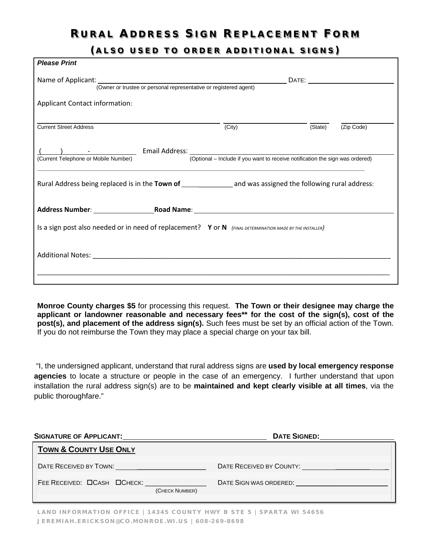## RURAL ADDRESS SIGN REPLACEMENT FORM

(ALSO USED TO ORDER ADDITIONAL SIGNS)

| <b>Please Print</b>                                                                                                   |        |         |            |  |  |  |  |
|-----------------------------------------------------------------------------------------------------------------------|--------|---------|------------|--|--|--|--|
| Name of Applicant: (Owner or trustee or personal representative or registered agent)                                  |        |         |            |  |  |  |  |
| Applicant Contact information:                                                                                        |        |         |            |  |  |  |  |
| <b>Current Street Address</b>                                                                                         | (City) | (State) | (Zip Code) |  |  |  |  |
| (Optional – Include if you want to receive notification the sign was ordered)<br>(Current Telephone or Mobile Number) |        |         |            |  |  |  |  |
| Rural Address being replaced is in the Town of _______________ and was assigned the following rural address:          |        |         |            |  |  |  |  |
|                                                                                                                       |        |         |            |  |  |  |  |
| Is a sign post also needed or in need of replacement? Y or N (FINAL DETERMINATION MADE BY THE INSTALLER)              |        |         |            |  |  |  |  |
|                                                                                                                       |        |         |            |  |  |  |  |

**Monroe County charges \$5** for processing this request. **The Town or their designee may charge the applicant or landowner reasonable and necessary fees\*\* for the cost of the sign(s), cost of the post(s), and placement of the address sign(s).** Such fees must be set by an official action of the Town. If you do not reimburse the Town they may place a special charge on your tax bill.

"I, the undersigned applicant, understand that rural address signs are **used by local emergency response agencies** to locate a structure or people in the case of an emergency. I further understand that upon installation the rural address sign(s) are to be **maintained and kept clearly visible at all times**, via the public thoroughfare."

| <b>SIGNATURE OF APPLICANT:</b>                       | <b>DATE SIGNED:</b>                          |
|------------------------------------------------------|----------------------------------------------|
| <b>TOWN &amp; COUNTY USE ONLY</b>                    |                                              |
|                                                      | DATE RECEIVED BY COUNTY:                     |
| FEE RECEIVED: <b>OCASH OCHECK:</b><br>(CHECK NUMBER) | DATE SIGN WAS ORDERED. THE SIGN WAS ORDERED. |

LAND INFORMATION OFFICE | 14345 COUNTY HWY B STE 5 | SPARTA WI 54656 JEREMIAH.ERICKSON@CO.MONROE.WI.US | 608-269-8698